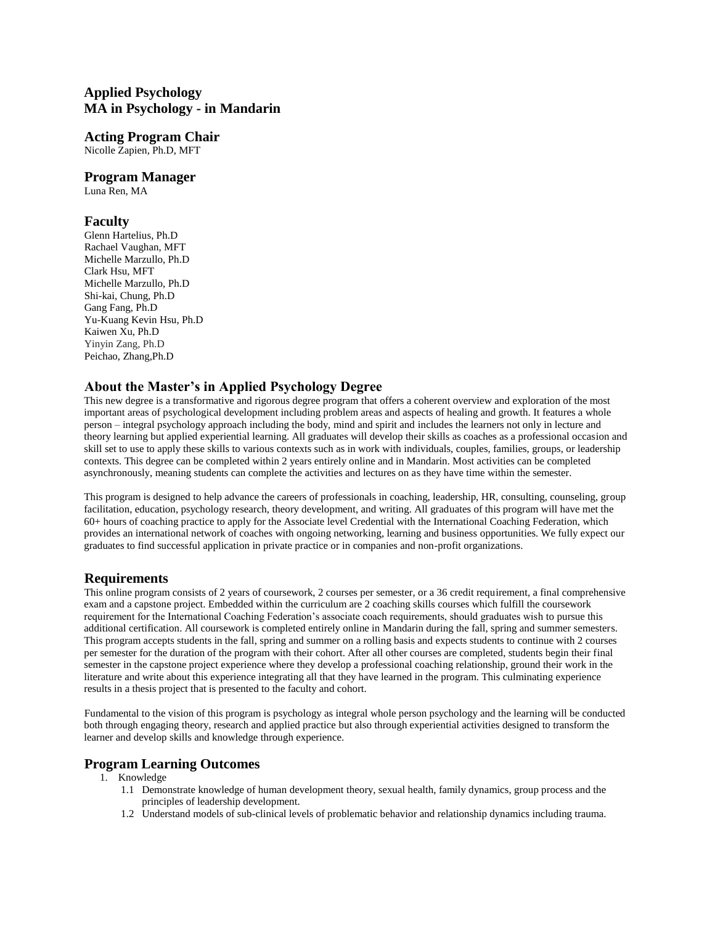# **Applied Psychology MA in Psychology - in Mandarin**

# **Acting Program Chair**

Nicolle Zapien, Ph.D, MFT

# **Program Manager**

Luna Ren, MA

# **Faculty**

Glenn Hartelius, Ph.D Rachael Vaughan, MFT Michelle Marzullo, Ph.D Clark Hsu, MFT Michelle Marzullo, Ph.D Shi-kai, Chung, Ph.D Gang Fang, Ph.D Yu-Kuang Kevin Hsu, Ph.D Kaiwen Xu, Ph.D Yinyin Zang, Ph.D Peichao, Zhang,Ph.D

# **About the Master's in Applied Psychology Degree**

This new degree is a transformative and rigorous degree program that offers a coherent overview and exploration of the most important areas of psychological development including problem areas and aspects of healing and growth. It features a whole person – integral psychology approach including the body, mind and spirit and includes the learners not only in lecture and theory learning but applied experiential learning. All graduates will develop their skills as coaches as a professional occasion and skill set to use to apply these skills to various contexts such as in work with individuals, couples, families, groups, or leadership contexts. This degree can be completed within 2 years entirely online and in Mandarin. Most activities can be completed asynchronously, meaning students can complete the activities and lectures on as they have time within the semester.

This program is designed to help advance the careers of professionals in coaching, leadership, HR, consulting, counseling, group facilitation, education, psychology research, theory development, and writing. All graduates of this program will have met the 60+ hours of coaching practice to apply for the Associate level Credential with the International Coaching Federation, which provides an international network of coaches with ongoing networking, learning and business opportunities. We fully expect our graduates to find successful application in private practice or in companies and non-profit organizations.

# **Requirements**

This online program consists of 2 years of coursework, 2 courses per semester, or a 36 credit requirement, a final comprehensive exam and a capstone project. Embedded within the curriculum are 2 coaching skills courses which fulfill the coursework requirement for the International Coaching Federation's associate coach requirements, should graduates wish to pursue this additional certification. All coursework is completed entirely online in Mandarin during the fall, spring and summer semesters. This program accepts students in the fall, spring and summer on a rolling basis and expects students to continue with 2 courses per semester for the duration of the program with their cohort. After all other courses are completed, students begin their final semester in the capstone project experience where they develop a professional coaching relationship, ground their work in the literature and write about this experience integrating all that they have learned in the program. This culminating experience results in a thesis project that is presented to the faculty and cohort.

Fundamental to the vision of this program is psychology as integral whole person psychology and the learning will be conducted both through engaging theory, research and applied practice but also through experiential activities designed to transform the learner and develop skills and knowledge through experience.

# **Program Learning Outcomes**

- 1. Knowledge
	- 1.1 Demonstrate knowledge of human development theory, sexual health, family dynamics, group process and the principles of leadership development.
	- 1.2 Understand models of sub-clinical levels of problematic behavior and relationship dynamics including trauma.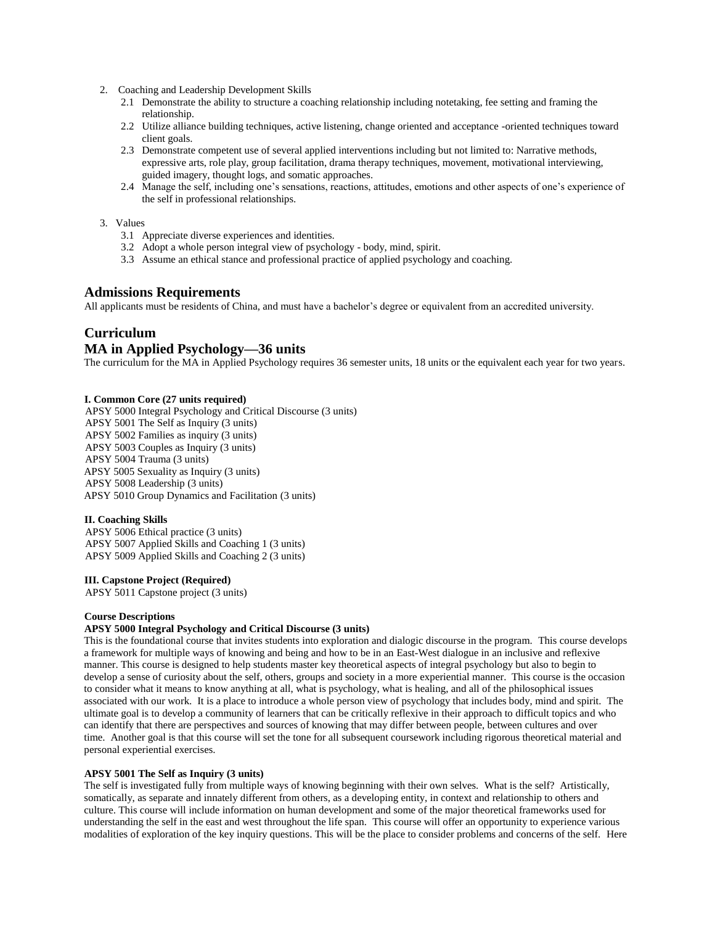- 2. Coaching and Leadership Development Skills
	- 2.1 Demonstrate the ability to structure a coaching relationship including notetaking, fee setting and framing the relationship.
	- 2.2 Utilize alliance building techniques, active listening, change oriented and acceptance -oriented techniques toward client goals.
	- 2.3 Demonstrate competent use of several applied interventions including but not limited to: Narrative methods, expressive arts, role play, group facilitation, drama therapy techniques, movement, motivational interviewing, guided imagery, thought logs, and somatic approaches.
	- 2.4 Manage the self, including one's sensations, reactions, attitudes, emotions and other aspects of one's experience of the self in professional relationships.
- 3. Values
	- 3.1 Appreciate diverse experiences and identities.
	- 3.2 Adopt a whole person integral view of psychology body, mind, spirit.
	- 3.3 Assume an ethical stance and professional practice of applied psychology and coaching.

# **Admissions Requirements**

All applicants must be residents of China, and must have a bachelor's degree or equivalent from an accredited university.

# **Curriculum**

# **MA in Applied Psychology—36 units**

The curriculum for the MA in Applied Psychology requires 36 semester units, 18 units or the equivalent each year for two years.

### **I. Common Core (27 units required)**

APSY 5000 Integral Psychology and Critical Discourse (3 units) APSY 5001 The Self as Inquiry (3 units) APSY 5002 Families as inquiry (3 units) APSY 5003 Couples as Inquiry (3 units) APSY 5004 Trauma (3 units) APSY 5005 Sexuality as Inquiry (3 units) APSY 5008 Leadership (3 units) APSY 5010 Group Dynamics and Facilitation (3 units)

## **II. Coaching Skills**

APSY 5006 Ethical practice (3 units) APSY 5007 Applied Skills and Coaching 1 (3 units) APSY 5009 Applied Skills and Coaching 2 (3 units)

#### **III. Capstone Project (Required)**

APSY 5011 Capstone project (3 units)

### **Course Descriptions**

# **APSY 5000 Integral Psychology and Critical Discourse (3 units)**

This is the foundational course that invites students into exploration and dialogic discourse in the program. This course develops a framework for multiple ways of knowing and being and how to be in an East-West dialogue in an inclusive and reflexive manner. This course is designed to help students master key theoretical aspects of integral psychology but also to begin to develop a sense of curiosity about the self, others, groups and society in a more experiential manner. This course is the occasion to consider what it means to know anything at all, what is psychology, what is healing, and all of the philosophical issues associated with our work. It is a place to introduce a whole person view of psychology that includes body, mind and spirit. The ultimate goal is to develop a community of learners that can be critically reflexive in their approach to difficult topics and who can identify that there are perspectives and sources of knowing that may differ between people, between cultures and over time. Another goal is that this course will set the tone for all subsequent coursework including rigorous theoretical material and personal experiential exercises.

#### **APSY 5001 The Self as Inquiry (3 units)**

The self is investigated fully from multiple ways of knowing beginning with their own selves. What is the self? Artistically, somatically, as separate and innately different from others, as a developing entity, in context and relationship to others and culture. This course will include information on human development and some of the major theoretical frameworks used for understanding the self in the east and west throughout the life span. This course will offer an opportunity to experience various modalities of exploration of the key inquiry questions. This will be the place to consider problems and concerns of the self. Here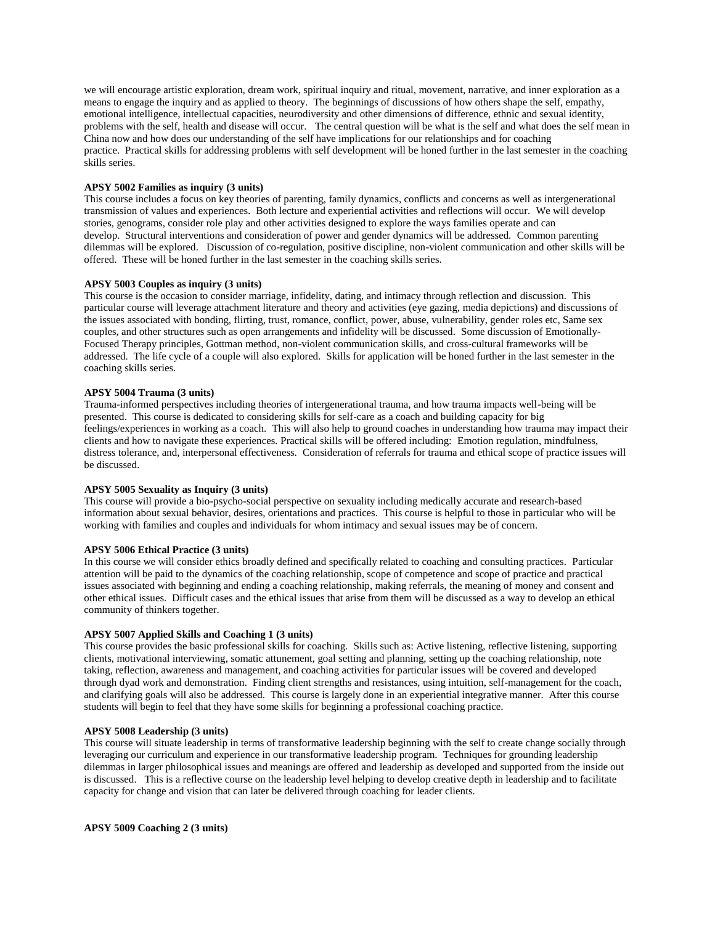we will encourage artistic exploration, dream work, spiritual inquiry and ritual, movement, narrative, and inner exploration as a means to engage the inquiry and as applied to theory. The beginnings of discussions of how others shape the self, empathy, emotional intelligence, intellectual capacities, neurodiversity and other dimensions of difference, ethnic and sexual identity, problems with the self, health and disease will occur. The central question will be what is the self and what does the self mean in China now and how does our understanding of the self have implications for our relationships and for coaching practice. Practical skills for addressing problems with self development will be honed further in the last semester in the coaching skills series.

### **APSY 5002 Families as inquiry (3 units)**

This course includes a focus on key theories of parenting, family dynamics, conflicts and concerns as well as intergenerational transmission of values and experiences. Both lecture and experiential activities and reflections will occur. We will develop stories, genograms, consider role play and other activities designed to explore the ways families operate and can develop. Structural interventions and consideration of power and gender dynamics will be addressed. Common parenting dilemmas will be explored. Discussion of co-regulation, positive discipline, non-violent communication and other skills will be offered. These will be honed further in the last semester in the coaching skills series.

### **APSY 5003 Couples as inquiry (3 units)**

This course is the occasion to consider marriage, infidelity, dating, and intimacy through reflection and discussion. This particular course will leverage attachment literature and theory and activities (eye gazing, media depictions) and discussions of the issues associated with bonding, flirting, trust, romance, conflict, power, abuse, vulnerability, gender roles etc, Same sex couples, and other structures such as open arrangements and infidelity will be discussed. Some discussion of Emotionally-Focused Therapy principles, Gottman method, non-violent communication skills, and cross-cultural frameworks will be addressed. The life cycle of a couple will also explored. Skills for application will be honed further in the last semester in the coaching skills series.

### **APSY 5004 Trauma (3 units)**

Trauma-informed perspectives including theories of intergenerational trauma, and how trauma impacts well-being will be presented. This course is dedicated to considering skills for self-care as a coach and building capacity for big feelings/experiences in working as a coach. This will also help to ground coaches in understanding how trauma may impact their clients and how to navigate these experiences. Practical skills will be offered including: Emotion regulation, mindfulness, distress tolerance, and, interpersonal effectiveness. Consideration of referrals for trauma and ethical scope of practice issues will be discussed.

#### **APSY 5005 Sexuality as Inquiry (3 units)**

This course will provide a bio-psycho-social perspective on sexuality including medically accurate and research-based information about sexual behavior, desires, orientations and practices. This course is helpful to those in particular who will be working with families and couples and individuals for whom intimacy and sexual issues may be of concern.

#### **APSY 5006 Ethical Practice (3 units)**

In this course we will consider ethics broadly defined and specifically related to coaching and consulting practices. Particular attention will be paid to the dynamics of the coaching relationship, scope of competence and scope of practice and practical issues associated with beginning and ending a coaching relationship, making referrals, the meaning of money and consent and other ethical issues. Difficult cases and the ethical issues that arise from them will be discussed as a way to develop an ethical community of thinkers together.

### **APSY 5007 Applied Skills and Coaching 1 (3 units)**

This course provides the basic professional skills for coaching. Skills such as: Active listening, reflective listening, supporting clients, motivational interviewing, somatic attunement, goal setting and planning, setting up the coaching relationship, note taking, reflection, awareness and management, and coaching activities for particular issues will be covered and developed through dyad work and demonstration. Finding client strengths and resistances, using intuition, self-management for the coach, and clarifying goals will also be addressed. This course is largely done in an experiential integrative manner. After this course students will begin to feel that they have some skills for beginning a professional coaching practice.

## **APSY 5008 Leadership (3 units)**

This course will situate leadership in terms of transformative leadership beginning with the self to create change socially through leveraging our curriculum and experience in our transformative leadership program. Techniques for grounding leadership dilemmas in larger philosophical issues and meanings are offered and leadership as developed and supported from the inside out is discussed. This is a reflective course on the leadership level helping to develop creative depth in leadership and to facilitate capacity for change and vision that can later be delivered through coaching for leader clients.